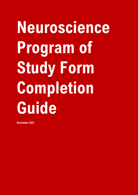# **Neuroscience Program of Study Form Completion Guide**

**November 2021**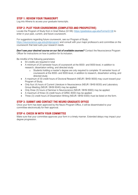# **STEP 1: REVIEW YOUR TRANSCRIPT**

Log into Athena to access your graduate transcripts.

# **STEP 2: PLOT YOUR COURSEWORK (COMPLETED AND PROSPECTIVE)**

Locate the Program of Study from in Grad Status (G138):<https://gradstatus.uga.edu/Forms/G138> to enter in your past, current, and future coursework.

For suggestions regarding future coursework, see our Program of Study:

<https://neuroscience.uga.edu/phdprogram/> and consult with your major professor/s and committee on the coursework that best suits your research needs.

**Don't see your desired course on our list of available courses?** Contact the Neuroscience Program Officer for instructions on how to petition for its inclusion.

Be mindful of the following parameters:

- 64 credits are required in total
- A minimum of 20 semester hours of coursework at the 8000- and 9000-level, in addition to research, dissertation writing, and directed study
	- o Students holding a master's degree are only required to complete 16 semester hours of coursework at the 8000- and 9000-level, in addition to research, dissertation writing, and directed study
- A maximum of 30 credit hours of Doctoral Research (NEUR / BHSI 9000) may count toward your Program of Study.
- Only four (4) hours of Current Literature in Neuroscience (NEUR / BHSI 8030) and Laboratory Group Meeting (NEUR / BHSI 8040) may be applied.
- Only three (3) hours of Seminar in Neuroscience (NEUR / BHSI 8900) may be applied.
- A maximum of three (3) credit hours of GRSC 8000 may be applied.
- Three (3) credit hours of Dissertation Writing (NEUR / BHSI 9300) must be listed on the form.

#### **STEP 3: SUBMIT AND CONTACT THE NEURO GRADUATE OFFICE**

Once your form has been approved by the Neuro Program Office, it will be disseminated to your committee electronically for their approval.

# **STEP 4: CHECK IN WITH YOUR COMMITTEE**

Make sure that your committee approves your form in a timely manner. Extended delays may impact your degree progression.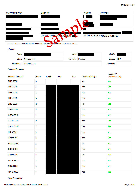| <b>Confirmation Code</b> | Date/Time                           | <b>Versions</b> | <b>Submitter</b>                   |
|--------------------------|-------------------------------------|-----------------|------------------------------------|
|                          |                                     |                 |                                    |
|                          |                                     |                 |                                    |
|                          |                                     |                 |                                    |
|                          |                                     |                 |                                    |
|                          |                                     |                 |                                    |
|                          |                                     |                 |                                    |
|                          | James A Lauderdale (Naud. @uga.edu, |                 | ABIGAIL BUTCHER (abutcher@uga.edu) |
|                          |                                     |                 |                                    |

# PLEASE NOTE: Rows/fields that have a purple borde have been modified or added.

#### Student

| <b>Name</b>             |                    | Email              |                 | <b>UGA ID</b> |  |
|-------------------------|--------------------|--------------------|-----------------|---------------|--|
|                         | Major Neuroscience | Objective Doctoral |                 | Degree PhD    |  |
| Department Neuroscience |                    |                    | <b>Emphasis</b> |               |  |

**Course Information** 

| Subject / Course # | <b>Hours</b>            | Grade | Term | Year | <b>Grad Level Only?</b> | Validated?<br><b>Grad School Only</b> |
|--------------------|-------------------------|-------|------|------|-------------------------|---------------------------------------|
| <b>BHSI 9300</b>   | $\overline{\mathbf{3}}$ |       |      |      | <b>No</b>               | Yes                                   |
| <b>BHSI 8030</b>   | $\overline{4}$          |       |      |      | Yes                     | Yes                                   |
| <b>BHSI 8040</b>   | $\overline{4}$          |       |      |      | Yes                     | Yes                                   |
| <b>BHSI 8900</b>   | 3 <sup>5</sup>          |       |      |      | Yes                     | Yes                                   |
| <b>BHSI 9000</b>   | 27                      |       |      |      | <b>No</b>               | Yes                                   |
| <b>GRSC 8000</b>   | 3 <sup>1</sup>          |       |      |      | Yes                     | Yes                                   |
| <b>GRSC 8010</b>   | $\overline{1}$          |       |      |      | Yes                     | Yes                                   |
| <b>GRSC 8020</b>   | $\overline{2}$          |       |      |      | Yes                     | Yes                                   |
| <b>GRSC 8550</b>   | $\mathbf{1}$            |       |      |      | Yes                     | <b>Yes</b>                            |
| <b>LLED 7769</b>   | $\overline{3}$          |       |      |      | Yes                     | Yes                                   |
| <b>CBIO 8300</b>   | $\overline{\mathbf{3}}$ |       |      |      | Yes                     | Yes                                   |
| <b>BIOS 7010E</b>  | $\mathbf{3}$            |       |      |      | <b>No</b>               | Yes                                   |
| <b>CBIO 8480</b>   | $\mathbf{1}$            |       |      |      | Yes                     | Yes                                   |
| <b>CBIO 6310</b>   | 3 <sup>1</sup>          |       |      |      | <b>No</b>               | Yes                                   |
| <b>VPHY 8400</b>   | 3 <sup>1</sup>          |       |      |      | Yes                     | Yes                                   |
| <b>CBIO 8080</b>   | 3 <sup>1</sup>          |       |      |      | Yes                     | Yes                                   |
| <b>VPHY 8020</b>   | $\overline{3}$          |       |      |      | Yes                     | Yes                                   |

**Other Information**